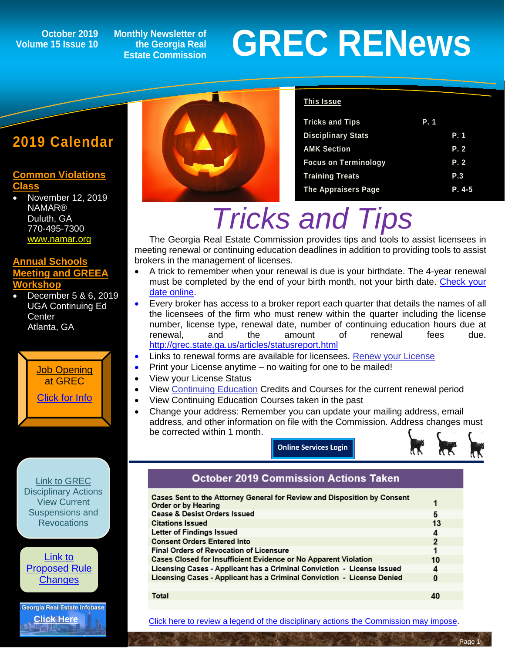### **Volume 15 Issue 10**

**Monthly Newsletter of the Georgia Real Estate Commission**

# **GREC RENEWS**<br>
Estate Commission<br>
Estate Commission

#### **2019 Calendar**

#### **[Common Violations](http://grec.state.ga.us/PDFS/About/newsarticles/2019%20Course%20Dates%20and%20Locations_%20(002).pdf)  [Class](http://grec.state.ga.us/PDFS/About/newsarticles/2019%20Course%20Dates%20and%20Locations_%20(002).pdf)**

• November 12, 2019 NAMAR® Duluth, GA 770-495-7300 [www.namar.org](https://www.namar.org/)

#### **[Annual Schools](http://www.annualschoolmeeting.com/Future-Meetings)  [Meeting and GREEA](http://www.annualschoolmeeting.com/Future-Meetings)  [Workshop](http://www.annualschoolmeeting.com/Future-Meetings)**

• December 5 & 6, 2019 UGA Continuing Ed **Center** Atlanta, GA





#### **This Issue**

| <b>Tricks and Tips</b>      | P. 1 |         |
|-----------------------------|------|---------|
| <b>Disciplinary Stats</b>   |      | P. 1    |
| <b>AMK Section</b>          |      | P. 2    |
| <b>Focus on Terminology</b> |      | P. 2    |
| <b>Training Treats</b>      |      | P.3     |
| <b>The Appraisers Page</b>  |      | $P.4-5$ |

# *Tricks and Tips*

The Georgia Real Estate Commission provides tips and tools to assist licensees in meeting renewal or continuing education deadlines in addition to providing tools to assist brokers in the management of licenses.

- A trick to remember when your renewal is due is your birthdate. The 4-year renewal must be completed by the end of your birth month, not your birth date. Check your [date online.](https://www.grec.state.ga.us/info/wcls.secure_login?p_action=Continue&p_errors=N)
- Every broker has access to a broker report each quarter that details the names of all the licensees of the firm who must renew within the quarter including the license number, license type, renewal date, number of continuing education hours due at<br>renewal, and the amount of renewal fees due. renewal, and the amount of renewal fees due. <http://grec.state.ga.us/articles/statusreport.html>
- Links to renewal forms are available for licensees. [Renew your License](http://grec.state.ga.us/grec/rerenew.html)
- Print your License anytime no waiting for one to be mailed!
- View your License Status
- View [Continuing Education](http://grec.state.ga.us/grec/reconted.html) Credits and Courses for the current renewal period
- View Continuing Education Courses taken in the past
- Change your address: Remember you can update your mailing address, email address, and other information on file with the Commission. Address changes must be corrected within 1 month.

**[Online Services Login](https://www.grec.state.ga.us/info/wcls.secure_login?p_action=Continue&p_errors=N)**



#### **October 2019 Commission Actions Taken**

| Cases Sent to the Attorney General for Review and Disposition by Consent | 1              |
|--------------------------------------------------------------------------|----------------|
| Order or by Hearing                                                      |                |
| <b>Cease &amp; Desist Orders Issued</b>                                  | 5              |
| <b>Citations Issued</b>                                                  | 13             |
| Letter of Findings Issued                                                | 4              |
| <b>Consent Orders Entered Into</b>                                       | $\overline{2}$ |
| <b>Final Orders of Revocation of Licensure</b>                           | 1              |
| Cases Closed for Insufficient Evidence or No Apparent Violation          | 10             |
| Licensing Cases - Applicant has a Criminal Conviction - License Issued   | 4              |
| Licensing Cases - Applicant has a Criminal Conviction - License Denied   | 0              |
|                                                                          |                |
| $T_{\alpha}$ tal                                                         | $\sqrt{2}$     |

Total

 $\overline{a}$ 

[Click here to review a legend of the disciplinary actions the Commission may impose.](https://www.jmre.com/grec/GRECDisciplinaryTools.pdf)



Georgia Real Estate Infobase **[Click Here](https://www.grec.state.ga.us/infobase/infobase.html)**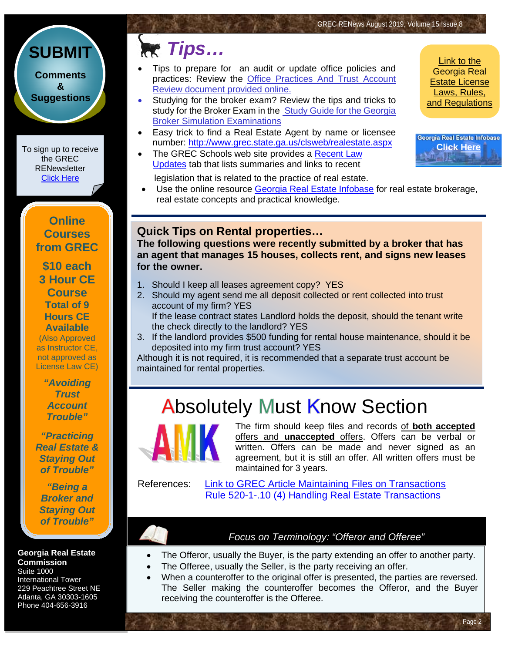#### **[SUBMIT](http://www.jmre.com/grecrenewscomments2014.htm) [Comments](http://www.jmre.com/grecrenewscomments2014.htm) [&](http://www.jmre.com/grecrenewscomments2014.htm) [Suggestions](http://www.jmre.com/grecrenewscomments2014.htm)**

To sign up to receive the GREC **RENewsletter** [Click Here](https://www.grec.state.ga.us/about/subscribe.html)

> **Online Courses from GREC**

**[\\$10 each](http://www.jmre.com/grec) [3 Hour CE](http://www.jmre.com/grec)  [Course](http://www.jmre.com/grec) [Total of 9](http://www.jmre.com/grec)  [Hours CE](http://www.jmre.com/grec)  [Available](http://www.jmre.com/grec)** [\(Also Approved](http://www.jmre.com/grec)  [as Instructor CE,](http://www.jmre.com/grec)  [not approved as](http://www.jmre.com/grec) 

> *["Avoiding](http://www.jmre.com/grec)  [Trust](http://www.jmre.com/grec)  [Account](http://www.jmre.com/grec)  [Trouble"](http://www.jmre.com/grec)*

[License Law CE\)](http://www.jmre.com/grec)

*["Practicing](http://www.jmre.com/grec)  [Real Estate &](http://www.jmre.com/grec)  [Staying Out](http://www.jmre.com/grec)  [of Trouble"](http://www.jmre.com/grec)*

*["Being a](http://www.jmre.com/grec)  [Broker and](http://www.jmre.com/grec)  [Staying Out](http://www.jmre.com/grec)  [of Trouble"](http://www.jmre.com/grec)*

**Georgia Real Estate Commission** Suite 1000

International Tower 229 Peachtree Street NE Atlanta, GA 30303-1605 Phone 404-656-3916

### **Tips…** Link to the

- Tips to prepare for an audit or update office policies and practices: Review the [Office Practices And Trust Account](http://grec.state.ga.us/PDFS/Other/GREC%20Office%20Practices%20and%20Trust%20Account%20Review.pdf)  [Review](http://grec.state.ga.us/PDFS/Other/GREC%20Office%20Practices%20and%20Trust%20Account%20Review.pdf) document provided online.
- Studying for the broker exam? Review the tips and tricks to study for the Broker Exam in the Study Guide for the Georgia [Broker Simulation Examinations](http://grec.state.ga.us/PDFS/RealEstate/Study%20Guide%20for%20the%20Georgia%20Broker%20Simulation%20Examinations%20_2_%20(2).pdf)
- Easy trick to find a Real Estate Agent by name or licensee number: <http://www.grec.state.ga.us/clsweb/realestate.aspx>
- The GREC Schools web site provides a Recent Law [Updates](http://www.jmre.com/GREC/RecentLawUpdates.pdf) tab that lists summaries and links to recent

legislation that is related to the practice of real estate.

• Use the online resource [Georgia Real Estate Infobase](http://www.grec.state.ga.us/infobase/infobase.html) for real estate brokerage, real estate concepts and practical knowledge.

#### **Quick Tips on Rental properties…**

**The following questions were recently submitted by a broker that has an agent that manages 15 houses, collects rent, and signs new leases for the owner.**

- 1. Should I keep all leases agreement copy? YES
- 2. Should my agent send me all deposit collected or rent collected into trust account of my firm? YES If the lease contract states Landlord holds the deposit, should the tenant write the check directly to the landlord? YES
- 3. If the landlord provides \$500 funding for rental house maintenance, should it be deposited into my firm trust account? YES

Although it is not required, it is recommended that a separate trust account be maintained for rental properties.

### **Absolutely Must Know Section**



The firm should keep files and records of **both accepted** offers and **unaccepted** offers. Offers can be verbal or written. Offers can be made and never signed as an agreement, but it is still an offer. All written offers must be maintained for 3 years.

ī

References: [Link to GREC Article Maintaining Files on Transactions](http://grec.state.ga.us/articles/filesontransactions.html) [Rule 520-1-.10](http://grec.state.ga.us/about/relaw.html) (4) Handling Real Estate Transactions

#### *Focus on Terminology: "Offeror and Offeree"*

- The Offeror, usually the Buyer, is the party extending an offer to another party.
	- The Offeree, usually the Seller, is the party receiving an offer.
- When a counteroffer to the original offer is presented, the parties are reversed. The Seller making the counteroffer becomes the Offeror, and the Buyer receiving the counteroffer is the Offeree.

[Georgia Real](http://www.grec.state.ga.us/about/relaw.html)  [Estate License](http://www.grec.state.ga.us/about/relaw.html)  [Laws, Rules,](http://www.grec.state.ga.us/about/relaw.html)  [and Regulations](http://www.grec.state.ga.us/about/relaw.html)

Georgia Real Estate Infobase **[Click Here](https://www.grec.state.ga.us/infobase/infobase.html)**

Page 2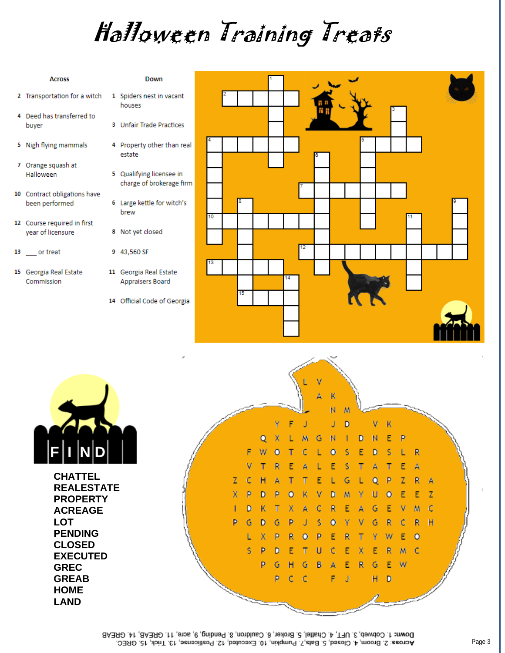## Halloween Training Treats

| <b>Across</b>                                    | <b>Down</b>                                                               |    |    |    |  |  |  |
|--------------------------------------------------|---------------------------------------------------------------------------|----|----|----|--|--|--|
| 2 Transportation for a witch                     | 1 Spiders nest in vacant<br>houses                                        |    |    |    |  |  |  |
| 4 Deed has transferred to<br>buyer               | 3 Unfair Trade Practices                                                  |    |    |    |  |  |  |
| 5 Nigh flying mammals                            | 4 Property other than real<br>estate                                      |    |    |    |  |  |  |
| 7 Orange squash at<br>Halloween                  | 5 Qualifying licensee in<br>charge of brokerage firm                      |    |    |    |  |  |  |
| 10 Contract obligations have<br>been performed   | 6 Large kettle for witch's<br>brew                                        |    |    |    |  |  |  |
| 12 Course required in first<br>year of licensure | 8 Not yet closed                                                          | 10 |    |    |  |  |  |
| 13 ____ or treat                                 | 9 43,560 SF                                                               |    |    | 12 |  |  |  |
| 15 Georgia Real Estate<br>Commission             | 11 Georgia Real Estate<br>Appraisers Board<br>14 Official Code of Georgia | 13 | 15 | 14 |  |  |  |



**CHATTEL REALESTATE PROPERTY ACREAGE LOT PENDING CLOSED EXECUTED GREC GREAB HOME LAND**

Κ N M Ÿ F Ĵ D J ٧ K E Q X L м G N п D N P F T s W  $\circ$  $\mathsf{C}$ L  $\circ$ s Ε D R ٧ т  $\overline{R}$ Ε A L E s т Ă Τ Ε  $\mathsf{A}$ T E P z  $\mathsf{R}$ z c н Τ L G Q A A  $\overline{\mathsf{x}}$ P E  $Z$ D P  $\overline{O}$ K V D  $M$ Υ Ù  $\circ$ E  $\mathbf{C}$  $\mathsf{C}$ G Ε ٧ M D Κ Τ Х A  $\mathbb{R}$ Ε A p Ġ D G P Ū Ś  $\circ$ G R Ċ  $\mathbb{R}$  $H$ Υ ٧ P  $\mathsf R$ P  $\overline{\mathsf{R}}$ Ε Χ  $\circ$ Ε Υ W  $\circ$ Т s P D Ε Τ U C Ε Ε R M -C X E P G  $\mathsf{R}$ G н G B A Ε W Þ  $\mathsf{C}$ Ċ F н J D

Down: 1. Cobweb, 3. UFT, 4. Chattel, 5. Broker, 6. Cauldron, 8. Pending, 9, acre, 11. GREAB, 14. GREAB Across. 2. Broom, 4. Closed, 5. Bats, 7. Pumpkin, 10. Executed, 12. Postlicense, 13. Trick, 15. GREC.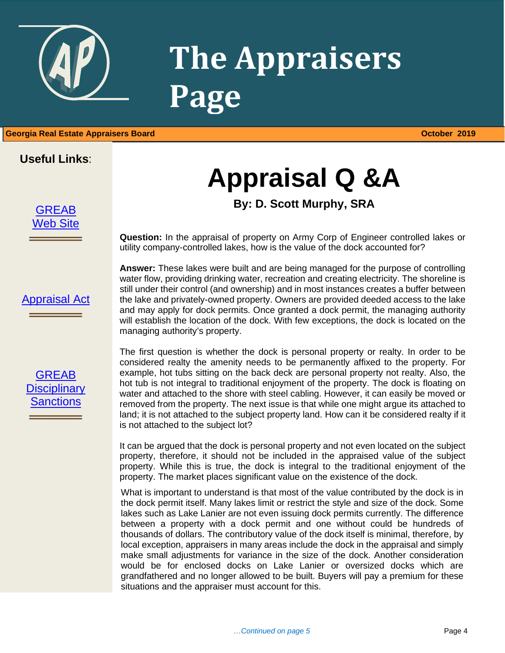

# **The Appraisers Page**

#### 1 **Georgia Real Estate Appraisers Board October 2019**

#### **Useful Links**:

[GREAB](http://www.grec.state.ga.us/about/greab.html) [Web Site](http://www.grec.state.ga.us/about/greab.html)

**═════**

### **Appraisal Q &A**

#### **By: D. Scott Murphy, SRA**

**Question:** In the appraisal of property on Army Corp of Engineer controlled lakes or utility company-controlled lakes, how is the value of the dock accounted for?

[Appraisal Act](http://www.grec.state.ga.us/about/appraisersact.html) **═════**

[GREAB](http://www.grec.state.ga.us/about/apprsanctions.html)  **Disciplinary** [Sanctions](http://www.grec.state.ga.us/about/apprsanctions.html)

**═════**

**Answer:** These lakes were built and are being managed for the purpose of controlling water flow, providing drinking water, recreation and creating electricity. The shoreline is still under their control (and ownership) and in most instances creates a buffer between the lake and privately-owned property. Owners are provided deeded access to the lake and may apply for dock permits. Once granted a dock permit, the managing authority will establish the location of the dock. With few exceptions, the dock is located on the managing authority's property.

The first question is whether the dock is personal property or realty. In order to be considered realty the amenity needs to be permanently affixed to the property. For example, hot tubs sitting on the back deck are personal property not realty. Also, the hot tub is not integral to traditional enjoyment of the property. The dock is floating on water and attached to the shore with steel cabling. However, it can easily be moved or removed from the property. The next issue is that while one might argue its attached to land; it is not attached to the subject property land. How can it be considered realty if it is not attached to the subject lot?

It can be argued that the dock is personal property and not even located on the subject property, therefore, it should not be included in the appraised value of the subject property. While this is true, the dock is integral to the traditional enjoyment of the property. The market places significant value on the existence of the dock.

What is important to understand is that most of the value contributed by the dock is in the dock permit itself. Many lakes limit or restrict the style and size of the dock. Some lakes such as Lake Lanier are not even issuing dock permits currently. The difference between a property with a dock permit and one without could be hundreds of thousands of dollars. The contributory value of the dock itself is minimal, therefore, by local exception, appraisers in many areas include the dock in the appraisal and simply make small adjustments for variance in the size of the dock. Another consideration would be for enclosed docks on Lake Lanier or oversized docks which are grandfathered and no longer allowed to be built. Buyers will pay a premium for these situations and the appraiser must account for this.